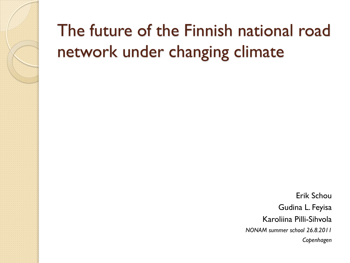### The future of the Finnish national road network under changing climate

Erik Schou Gudina L. Feyisa Karoliina Pilli-Sihvola *NONAM summer school 26.8.2011 Copenhagen*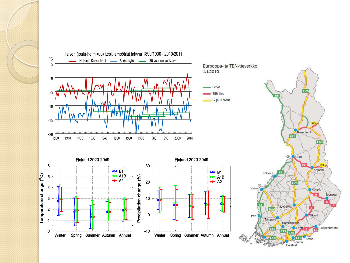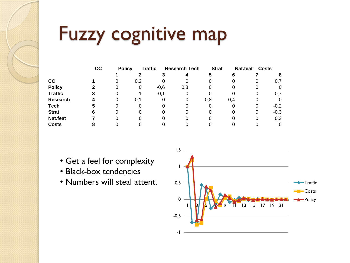### Fuzzy cognitive map

|                | cc | <b>Policy</b> | <b>Traffic</b> |        | <b>Research Tech</b> | <b>Strat</b> |     | Nat.feat<br><b>Costs</b> |        |
|----------------|----|---------------|----------------|--------|----------------------|--------------|-----|--------------------------|--------|
|                |    |               |                |        |                      |              | 6   |                          |        |
| cc             |    | O             | 0,2            | 0      |                      |              |     | O                        | 0,7    |
| <b>Policy</b>  |    |               |                | $-0,6$ | 0,8                  |              | 0   |                          |        |
| <b>Traffic</b> | з  |               |                | $-0,1$ |                      |              | 0   | 0                        | 0,7    |
| Research       | 4  | Ω             | 0,1            | 0      | 0                    | 0,8          | 0.4 | 0                        |        |
| <b>Tech</b>    | 5  |               |                | 0      |                      |              | 0   | O                        | $-0,2$ |
| <b>Strat</b>   | 6  |               |                |        |                      |              |     | 0                        | $-0,3$ |
| Nat.feat       |    |               |                |        |                      |              |     | 0                        | 0,3    |
| <b>Costs</b>   | 8  |               |                |        |                      |              |     |                          |        |

- Get a feel for complexity
- Black-box tendencies
- Numbers will steal attent.

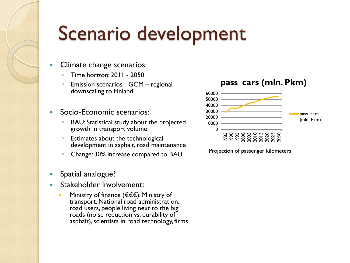# Scenario development

- Climate change scenarios:
	- Time horizon: 2011 2050
	- Emission scenarios GCM regional downscaling to Finland
- Socio-Economic scenarios:
	- BAU: Statistical study about the projected growth in transport volume
	- Estimates about the technological development in asphalt, road maintenance
	- Change: 30% increase compared to BAU
- Spatial analogue?
- Stakeholder involvement:
	- Ministry of finance (€€€), Ministry of transport, National road administration, road users, people living next to the big roads (noise reduction vs. durability of asphalt), scientists in road technology, firms

#### **pass\_cars (mln. Pkm)**



Projection of passenger kilometers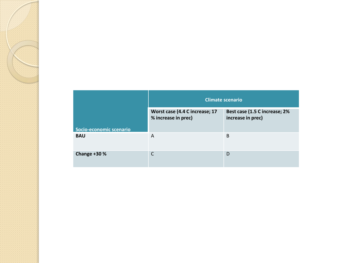|                         | <b>Climate scenario</b>                               |                                                    |  |  |
|-------------------------|-------------------------------------------------------|----------------------------------------------------|--|--|
|                         | Worst case (4.4 C increase; 17<br>% increase in prec) | Best case (1.5 C increase; 2%<br>increase in prec) |  |  |
| Socio-economic scenario |                                                       |                                                    |  |  |
| <b>BAU</b>              | A                                                     | B                                                  |  |  |
| Change +30 %            | C                                                     | D                                                  |  |  |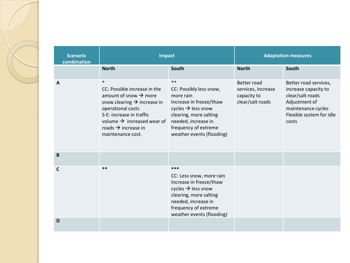| <b>Scenario</b><br>combination | Impact                                                                                                                                                                                                                                                                    |                                                                                                                                                                                                                 | <b>Adaptation measures</b>                                           |                                                                                                                                               |  |
|--------------------------------|---------------------------------------------------------------------------------------------------------------------------------------------------------------------------------------------------------------------------------------------------------------------------|-----------------------------------------------------------------------------------------------------------------------------------------------------------------------------------------------------------------|----------------------------------------------------------------------|-----------------------------------------------------------------------------------------------------------------------------------------------|--|
|                                | <b>North</b>                                                                                                                                                                                                                                                              | South                                                                                                                                                                                                           | <b>North</b>                                                         | South                                                                                                                                         |  |
| A                              | $\ast$<br>CC: Possible increase in the<br>amount of snow $\rightarrow$ more<br>snow clearing $\rightarrow$ increase in<br>operational costs<br>S-E: increase in traffic<br>volume $\rightarrow$ increased wear of<br>roads $\rightarrow$ increase in<br>maintenance cost. | $**$<br>CC: Possibly less snow,<br>more rain<br>Increase in freeze/thaw<br>cycles $\rightarrow$ less snow<br>clearing, more salting<br>needed, increase in<br>frequency of extreme<br>weather events (flooding) | Better road<br>services, increase<br>capacity to<br>clear/salt roads | Better road services,<br>increase capacity to<br>clear/salt roads<br>Adjustment of<br>maintenance cycles<br>Flexible system for idle<br>costs |  |
| B                              |                                                                                                                                                                                                                                                                           |                                                                                                                                                                                                                 |                                                                      |                                                                                                                                               |  |
| C                              | $***$                                                                                                                                                                                                                                                                     | ***<br>CC: Less snow, more rain<br>Increase in freeze/thaw<br>cycles $\rightarrow$ less snow<br>clearing, more salting<br>needed, increase in<br>frequency of extreme<br>weather events (flooding)              |                                                                      |                                                                                                                                               |  |
| D                              |                                                                                                                                                                                                                                                                           |                                                                                                                                                                                                                 |                                                                      |                                                                                                                                               |  |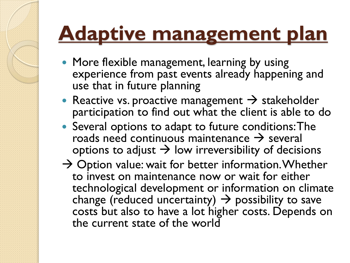## **Adaptive management plan**

- More flexible management, learning by using experience from past events already happening and use that in future planning
- Reactive vs. proactive management  $\rightarrow$  stakeholder participation to find out what the client is able to do
- Several options to adapt to future conditions: The roads need continuous maintenance  $\rightarrow$  several options to adjust  $\rightarrow$  low irreversibility of decisions
- $\rightarrow$  Option value: wait for better information. Whether to invest on maintenance now or wait for either technological development or information on climate change (reduced uncertainty)  $\rightarrow$  possibility to save costs but also to have a lot higher costs. Depends on the current state of the world